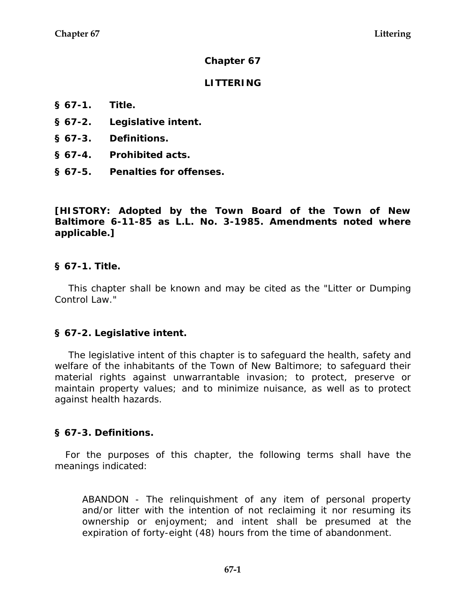### **Chapter 67**

## **LITTERING**

- **§ 67-1. Title.**
- **§ 67-2. Legislative intent.**
- **§ 67-3. Definitions.**
- **§ 67-4. Prohibited acts.**
- **§ 67-5. Penalties for offenses.**

**[HISTORY: Adopted by the Town Board of the Town of New Baltimore 6-11-85 as L.L. No. 3-1985. Amendments noted where applicable.]** 

### **§ 67-1. Title.**

This chapter shall be known and may be cited as the "Litter or Dumping Control Law."

### **§ 67-2. Legislative intent.**

The legislative intent of this chapter is to safeguard the health, safety and welfare of the inhabitants of the Town of New Baltimore; to safeguard their material rights against unwarrantable invasion; to protect, preserve or maintain property values; and to minimize nuisance, as well as to protect against health hazards.

### **§ 67-3. Definitions.**

For the purposes of this chapter, the following terms shall have the meanings indicated:

ABANDON - The relinquishment of any item of personal property and/or litter with the intention of not reclaiming it nor resuming its ownership or enjoyment; and intent shall be presumed at the expiration of forty-eight (48) hours from the time of abandonment.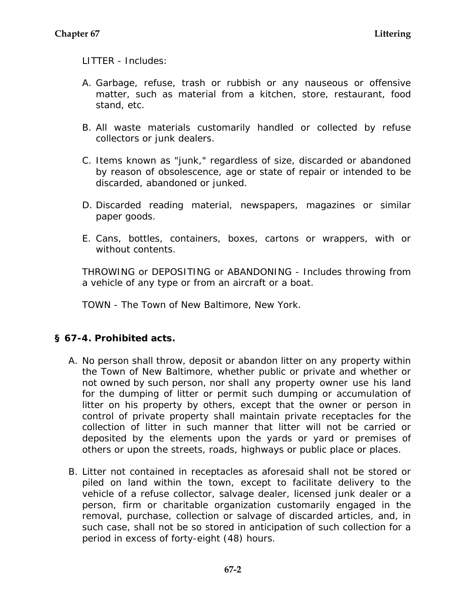LITTER - Includes:

- A. Garbage, refuse, trash or rubbish or any nauseous or offensive matter, such as material from a kitchen, store, restaurant, food stand, etc.
- B. All waste materials customarily handled or collected by refuse collectors or junk dealers.
- C. Items known as "junk," regardless of size, discarded or abandoned by reason of obsolescence, age or state of repair or intended to be discarded, abandoned or junked.
- D. Discarded reading material, newspapers, magazines or similar paper goods.
- E. Cans, bottles, containers, boxes, cartons or wrappers, with or without contents.

THROWING or DEPOSITING or ABANDONING - Includes throwing from a vehicle of any type or from an aircraft or a boat.

TOWN - The Town of New Baltimore, New York.

# **§ 67-4. Prohibited acts.**

- A. No person shall throw, deposit or abandon litter on any property within the Town of New Baltimore, whether public or private and whether or not owned by such person, nor shall any property owner use his land for the dumping of litter or permit such dumping or accumulation of litter on his property by others, except that the owner or person in control of private property shall maintain private receptacles for the collection of litter in such manner that litter will not be carried or deposited by the elements upon the yards or yard or premises of others or upon the streets, roads, highways or public place or places.
- B. Litter not contained in receptacles as aforesaid shall not be stored or piled on land within the town, except to facilitate delivery to the vehicle of a refuse collector, salvage dealer, licensed junk dealer or a person, firm or charitable organization customarily engaged in the removal, purchase, collection or salvage of discarded articles, and, in such case, shall not be so stored in anticipation of such collection for a period in excess of forty-eight (48) hours.